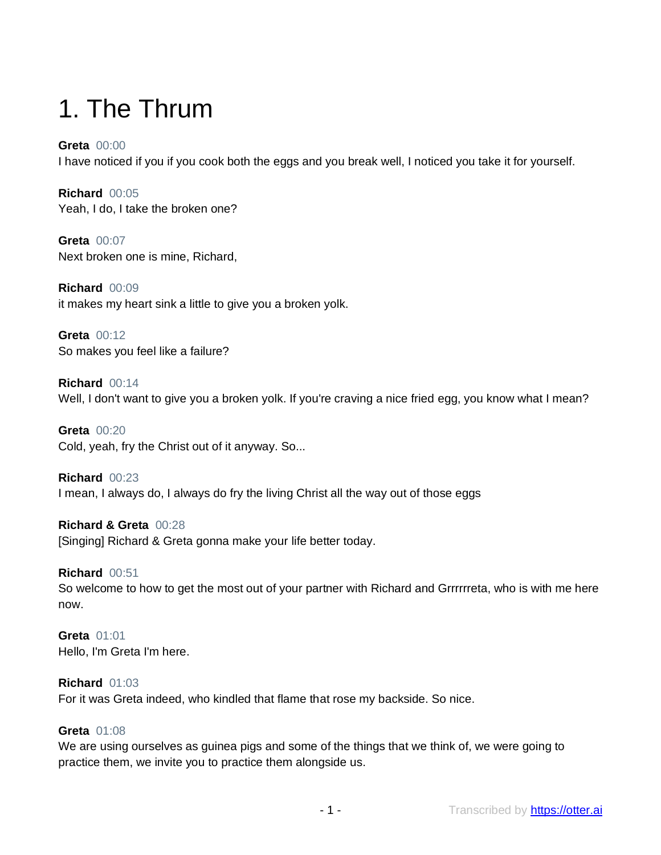# 1. The Thrum

### **Greta** 00:00

I have noticed if you if you cook both the eggs and you break well, I noticed you take it for yourself.

**Richard** 00:05 Yeah, I do, I take the broken one?

**Greta** 00:07 Next broken one is mine, Richard,

**Richard** 00:09 it makes my heart sink a little to give you a broken yolk.

**Greta** 00:12 So makes you feel like a failure?

**Richard** 00:14 Well, I don't want to give you a broken yolk. If you're craving a nice fried egg, you know what I mean?

**Greta** 00:20 Cold, yeah, fry the Christ out of it anyway. So...

**Richard** 00:23 I mean, I always do, I always do fry the living Christ all the way out of those eggs

**Richard & Greta** 00:28 [Singing] Richard & Greta gonna make your life better today.

### **Richard** 00:51

So welcome to how to get the most out of your partner with Richard and Grrrrrreta, who is with me here now.

**Greta** 01:01 Hello, I'm Greta I'm here.

### **Richard** 01:03

For it was Greta indeed, who kindled that flame that rose my backside. So nice.

### **Greta** 01:08

We are using ourselves as guinea pigs and some of the things that we think of, we were going to practice them, we invite you to practice them alongside us.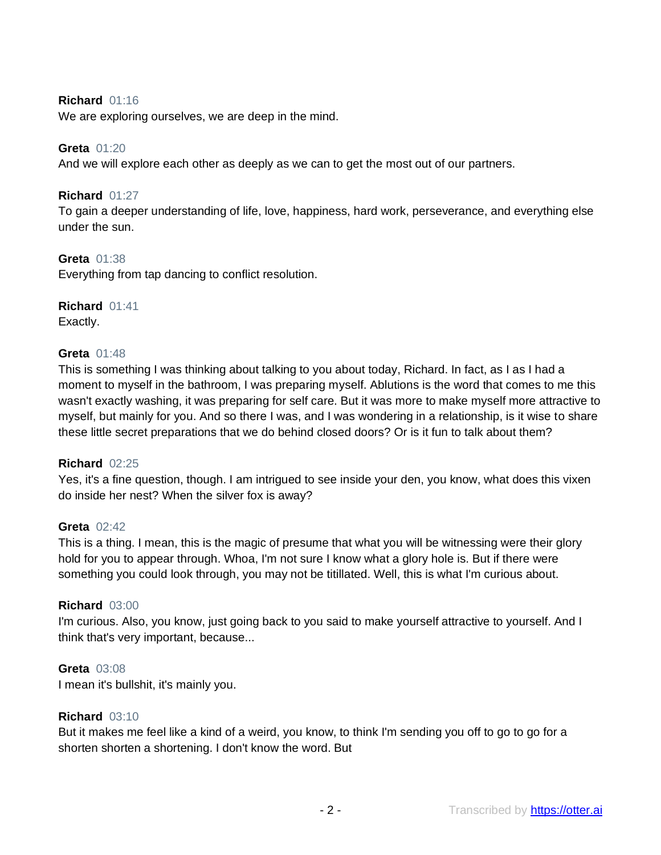### **Richard** 01:16

We are exploring ourselves, we are deep in the mind.

### **Greta** 01:20

And we will explore each other as deeply as we can to get the most out of our partners.

### **Richard** 01:27

To gain a deeper understanding of life, love, happiness, hard work, perseverance, and everything else under the sun.

### **Greta** 01:38

Everything from tap dancing to conflict resolution.

### **Richard** 01:41 Exactly.

## **Greta** 01:48

This is something I was thinking about talking to you about today, Richard. In fact, as I as I had a moment to myself in the bathroom, I was preparing myself. Ablutions is the word that comes to me this wasn't exactly washing, it was preparing for self care. But it was more to make myself more attractive to myself, but mainly for you. And so there I was, and I was wondering in a relationship, is it wise to share these little secret preparations that we do behind closed doors? Or is it fun to talk about them?

### **Richard** 02:25

Yes, it's a fine question, though. I am intrigued to see inside your den, you know, what does this vixen do inside her nest? When the silver fox is away?

#### **Greta** 02:42

This is a thing. I mean, this is the magic of presume that what you will be witnessing were their glory hold for you to appear through. Whoa, I'm not sure I know what a glory hole is. But if there were something you could look through, you may not be titillated. Well, this is what I'm curious about.

### **Richard** 03:00

I'm curious. Also, you know, just going back to you said to make yourself attractive to yourself. And I think that's very important, because...

### **Greta** 03:08

I mean it's bullshit, it's mainly you.

#### **Richard** 03:10

But it makes me feel like a kind of a weird, you know, to think I'm sending you off to go to go for a shorten shorten a shortening. I don't know the word. But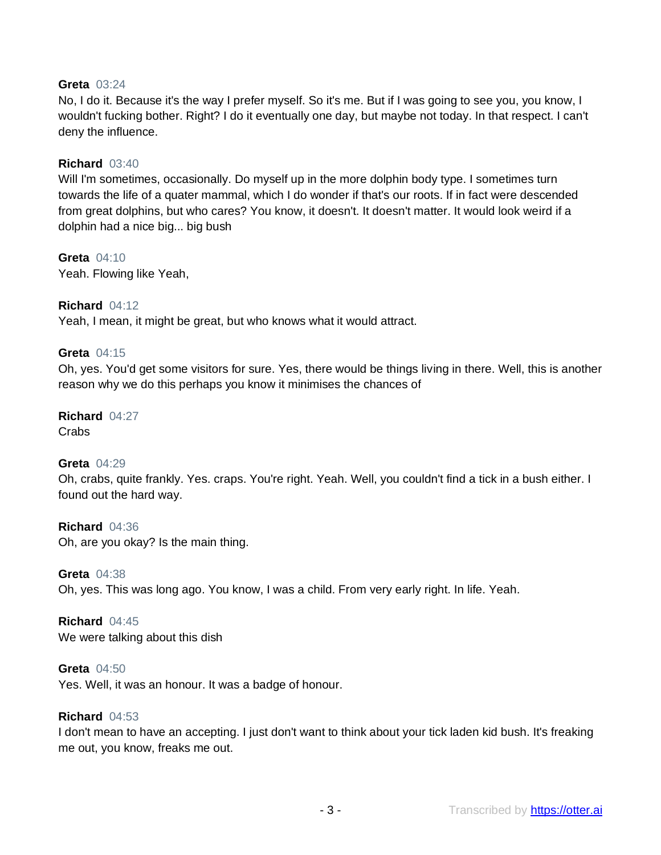### **Greta** 03:24

No, I do it. Because it's the way I prefer myself. So it's me. But if I was going to see you, you know, I wouldn't fucking bother. Right? I do it eventually one day, but maybe not today. In that respect. I can't deny the influence.

### **Richard** 03:40

Will I'm sometimes, occasionally. Do myself up in the more dolphin body type. I sometimes turn towards the life of a quater mammal, which I do wonder if that's our roots. If in fact were descended from great dolphins, but who cares? You know, it doesn't. It doesn't matter. It would look weird if a dolphin had a nice big... big bush

**Greta** 04:10 Yeah. Flowing like Yeah,

### **Richard** 04:12

Yeah, I mean, it might be great, but who knows what it would attract.

### **Greta** 04:15

Oh, yes. You'd get some visitors for sure. Yes, there would be things living in there. Well, this is another reason why we do this perhaps you know it minimises the chances of

**Richard** 04:27 **Crabs** 

### **Greta** 04:29

Oh, crabs, quite frankly. Yes. craps. You're right. Yeah. Well, you couldn't find a tick in a bush either. I found out the hard way.

**Richard** 04:36 Oh, are you okay? Is the main thing.

**Greta** 04:38 Oh, yes. This was long ago. You know, I was a child. From very early right. In life. Yeah.

**Richard** 04:45 We were talking about this dish

**Greta** 04:50 Yes. Well, it was an honour. It was a badge of honour.

#### **Richard** 04:53

I don't mean to have an accepting. I just don't want to think about your tick laden kid bush. It's freaking me out, you know, freaks me out.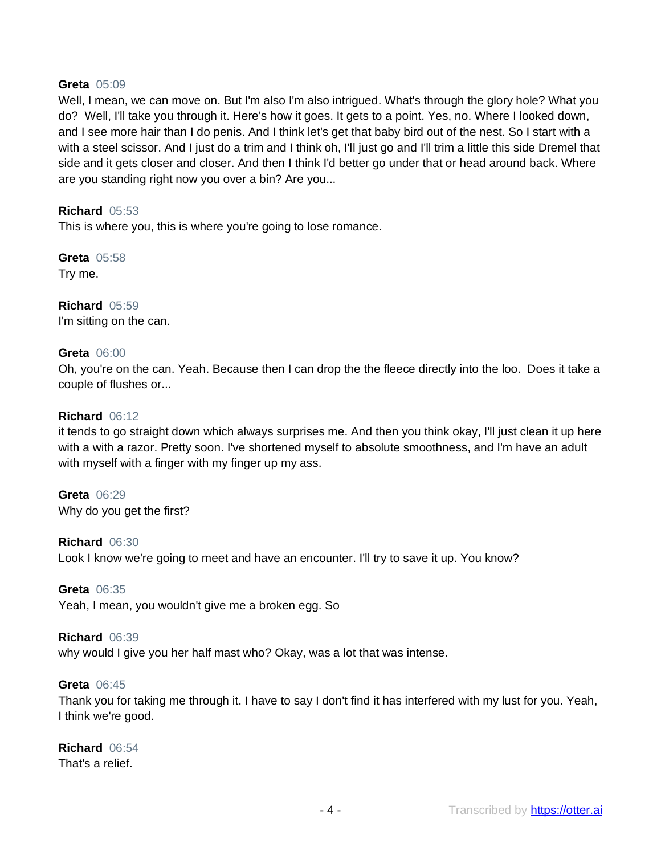### **Greta** 05:09

Well, I mean, we can move on. But I'm also I'm also intrigued. What's through the glory hole? What you do? Well, I'll take you through it. Here's how it goes. It gets to a point. Yes, no. Where I looked down, and I see more hair than I do penis. And I think let's get that baby bird out of the nest. So I start with a with a steel scissor. And I just do a trim and I think oh, I'll just go and I'll trim a little this side Dremel that side and it gets closer and closer. And then I think I'd better go under that or head around back. Where are you standing right now you over a bin? Are you...

### **Richard** 05:53

This is where you, this is where you're going to lose romance.

**Greta** 05:58 Try me.

**Richard** 05:59 I'm sitting on the can.

### **Greta** 06:00

Oh, you're on the can. Yeah. Because then I can drop the the fleece directly into the loo. Does it take a couple of flushes or...

### **Richard** 06:12

it tends to go straight down which always surprises me. And then you think okay, I'll just clean it up here with a with a razor. Pretty soon. I've shortened myself to absolute smoothness, and I'm have an adult with myself with a finger with my finger up my ass.

**Greta** 06:29 Why do you get the first?

**Richard** 06:30 Look I know we're going to meet and have an encounter. I'll try to save it up. You know?

**Greta** 06:35

Yeah, I mean, you wouldn't give me a broken egg. So

#### **Richard** 06:39

why would I give you her half mast who? Okay, was a lot that was intense.

#### **Greta** 06:45

Thank you for taking me through it. I have to say I don't find it has interfered with my lust for you. Yeah, I think we're good.

### **Richard** 06:54

That's a relief.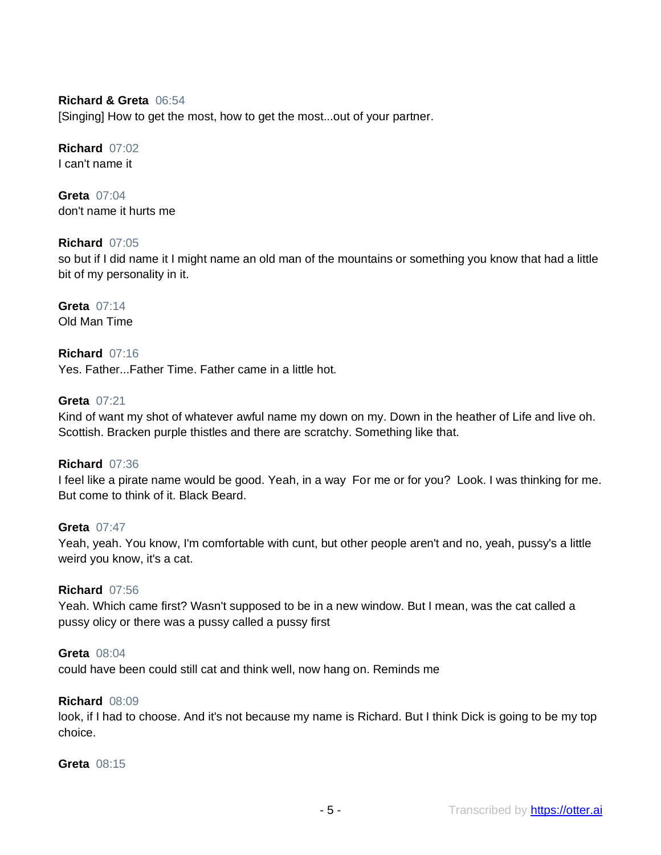### **Richard & Greta** 06:54

[Singing] How to get the most, how to get the most...out of your partner.

#### **Richard** 07:02 I can't name it

**Greta** 07:04 don't name it hurts me

### **Richard** 07:05

so but if I did name it I might name an old man of the mountains or something you know that had a little bit of my personality in it.

**Greta** 07:14 Old Man Time

**Richard** 07:16 Yes. Father...Father Time. Father came in a little hot.

#### **Greta** 07:21

Kind of want my shot of whatever awful name my down on my. Down in the heather of Life and live oh. Scottish. Bracken purple thistles and there are scratchy. Something like that.

**Richard** 07:36

I feel like a pirate name would be good. Yeah, in a way For me or for you? Look. I was thinking for me. But come to think of it. Black Beard.

#### **Greta** 07:47

Yeah, yeah. You know, I'm comfortable with cunt, but other people aren't and no, yeah, pussy's a little weird you know, it's a cat.

#### **Richard** 07:56

Yeah. Which came first? Wasn't supposed to be in a new window. But I mean, was the cat called a pussy olicy or there was a pussy called a pussy first

#### **Greta** 08:04

could have been could still cat and think well, now hang on. Reminds me

#### **Richard** 08:09

look, if I had to choose. And it's not because my name is Richard. But I think Dick is going to be my top choice.

#### **Greta** 08:15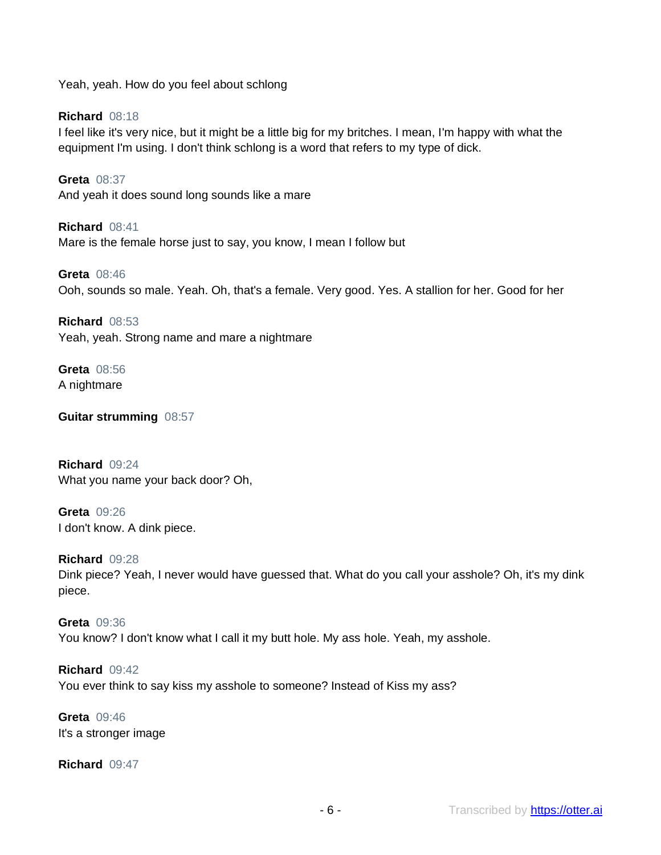Yeah, yeah. How do you feel about schlong

**Richard** 08:18 I feel like it's very nice, but it might be a little big for my britches. I mean, I'm happy with what the equipment I'm using. I don't think schlong is a word that refers to my type of dick.

**Greta** 08:37 And yeah it does sound long sounds like a mare

**Richard** 08:41 Mare is the female horse just to say, you know, I mean I follow but

**Greta** 08:46 Ooh, sounds so male. Yeah. Oh, that's a female. Very good. Yes. A stallion for her. Good for her

**Richard** 08:53 Yeah, yeah. Strong name and mare a nightmare

**Greta** 08:56 A nightmare

**Guitar strumming** 08:57

**Richard** 09:24 What you name your back door? Oh,

**Greta** 09:26 I don't know. A dink piece.

**Richard** 09:28 Dink piece? Yeah, I never would have guessed that. What do you call your asshole? Oh, it's my dink piece.

**Greta** 09:36 You know? I don't know what I call it my butt hole. My ass hole. Yeah, my asshole.

**Richard** 09:42 You ever think to say kiss my asshole to someone? Instead of Kiss my ass?

**Greta** 09:46 It's a stronger image

**Richard** 09:47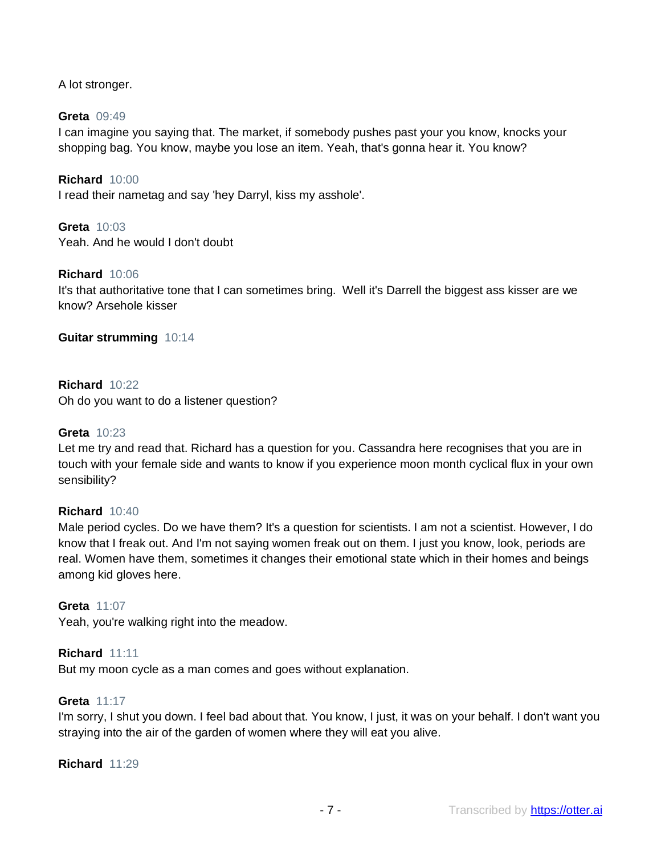A lot stronger.

### **Greta** 09:49

I can imagine you saying that. The market, if somebody pushes past your you know, knocks your shopping bag. You know, maybe you lose an item. Yeah, that's gonna hear it. You know?

**Richard** 10:00 I read their nametag and say 'hey Darryl, kiss my asshole'.

**Greta** 10:03 Yeah. And he would I don't doubt

### **Richard** 10:06

It's that authoritative tone that I can sometimes bring. Well it's Darrell the biggest ass kisser are we know? Arsehole kisser

### **Guitar strumming** 10:14

### **Richard** 10:22

Oh do you want to do a listener question?

### **Greta** 10:23

Let me try and read that. Richard has a question for you. Cassandra here recognises that you are in touch with your female side and wants to know if you experience moon month cyclical flux in your own sensibility?

### **Richard** 10:40

Male period cycles. Do we have them? It's a question for scientists. I am not a scientist. However, I do know that I freak out. And I'm not saying women freak out on them. I just you know, look, periods are real. Women have them, sometimes it changes their emotional state which in their homes and beings among kid gloves here.

#### **Greta** 11:07

Yeah, you're walking right into the meadow.

### **Richard** 11:11

But my moon cycle as a man comes and goes without explanation.

#### **Greta** 11:17

I'm sorry, I shut you down. I feel bad about that. You know, I just, it was on your behalf. I don't want you straying into the air of the garden of women where they will eat you alive.

#### **Richard** 11:29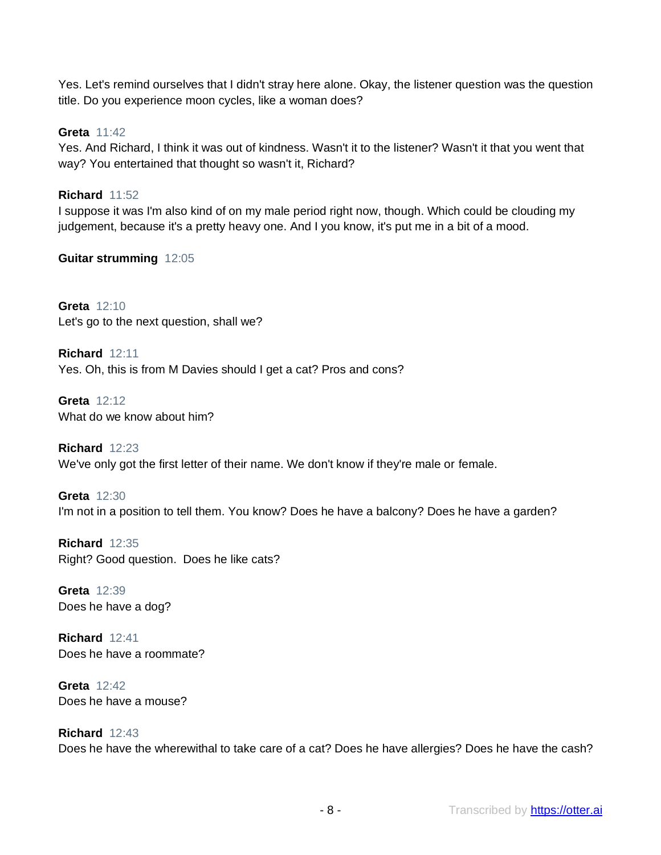Yes. Let's remind ourselves that I didn't stray here alone. Okay, the listener question was the question title. Do you experience moon cycles, like a woman does?

**Greta** 11:42

Yes. And Richard, I think it was out of kindness. Wasn't it to the listener? Wasn't it that you went that way? You entertained that thought so wasn't it, Richard?

### **Richard** 11:52

I suppose it was I'm also kind of on my male period right now, though. Which could be clouding my judgement, because it's a pretty heavy one. And I you know, it's put me in a bit of a mood.

**Guitar strumming** 12:05

**Greta** 12:10 Let's go to the next question, shall we?

**Richard** 12:11 Yes. Oh, this is from M Davies should I get a cat? Pros and cons?

**Greta** 12:12 What do we know about him?

**Richard** 12:23 We've only got the first letter of their name. We don't know if they're male or female.

**Greta** 12:30 I'm not in a position to tell them. You know? Does he have a balcony? Does he have a garden?

**Richard** 12:35 Right? Good question. Does he like cats?

**Greta** 12:39 Does he have a dog?

**Richard** 12:41 Does he have a roommate?

**Greta** 12:42 Does he have a mouse?

### **Richard** 12:43 Does he have the wherewithal to take care of a cat? Does he have allergies? Does he have the cash?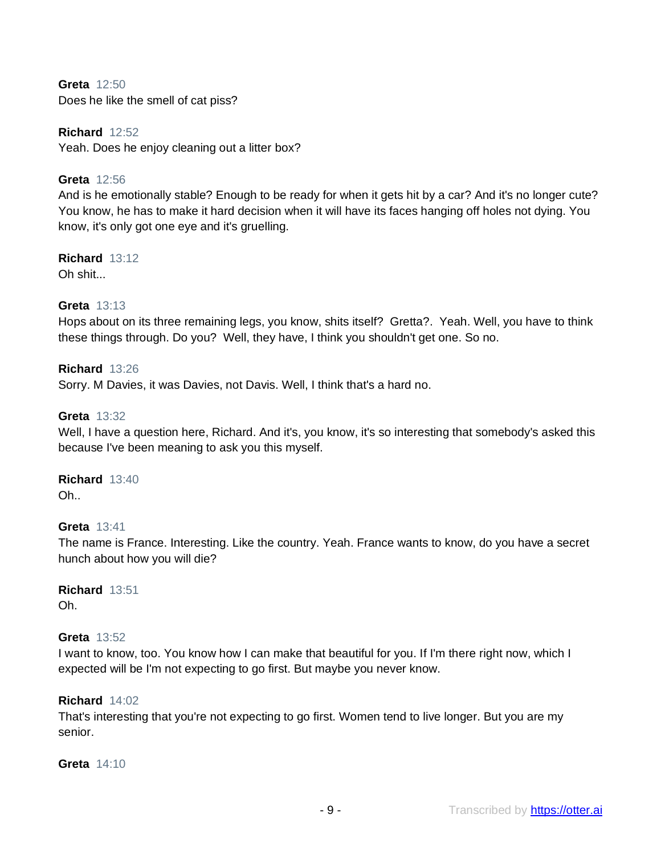**Greta** 12:50 Does he like the smell of cat piss?

**Richard** 12:52 Yeah. Does he enjoy cleaning out a litter box?

### **Greta** 12:56

And is he emotionally stable? Enough to be ready for when it gets hit by a car? And it's no longer cute? You know, he has to make it hard decision when it will have its faces hanging off holes not dying. You know, it's only got one eye and it's gruelling.

**Richard** 13:12

Oh shit...

### **Greta** 13:13

Hops about on its three remaining legs, you know, shits itself? Gretta?. Yeah. Well, you have to think these things through. Do you? Well, they have, I think you shouldn't get one. So no.

### **Richard** 13:26

Sorry. M Davies, it was Davies, not Davis. Well, I think that's a hard no.

### **Greta** 13:32

Well, I have a question here, Richard. And it's, you know, it's so interesting that somebody's asked this because I've been meaning to ask you this myself.

### **Richard** 13:40

Oh..

### **Greta** 13:41

The name is France. Interesting. Like the country. Yeah. France wants to know, do you have a secret hunch about how you will die?

#### **Richard** 13:51 Oh.

### **Greta** 13:52

I want to know, too. You know how I can make that beautiful for you. If I'm there right now, which I expected will be I'm not expecting to go first. But maybe you never know.

### **Richard** 14:02

That's interesting that you're not expecting to go first. Women tend to live longer. But you are my senior.

### **Greta** 14:10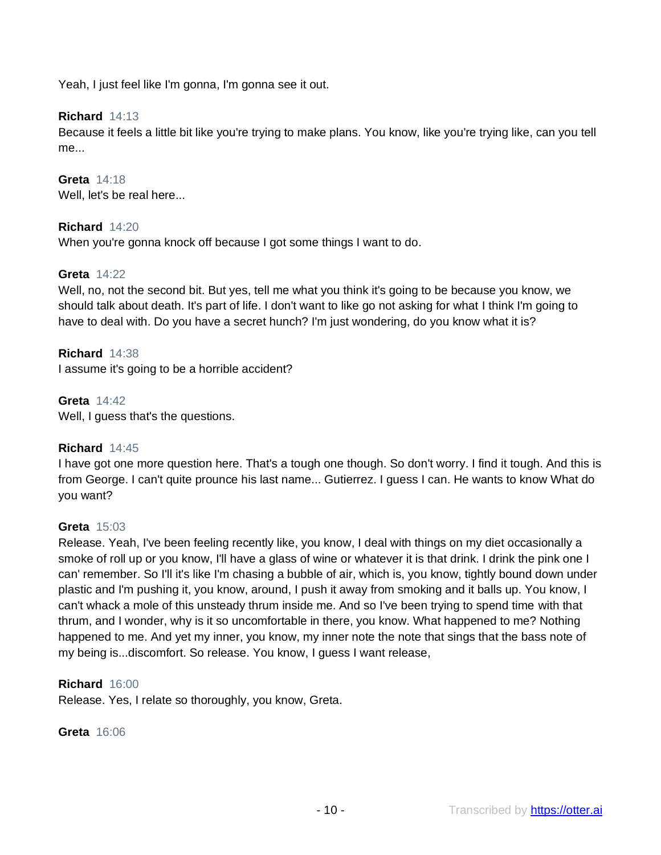Yeah, I just feel like I'm gonna, I'm gonna see it out.

### **Richard** 14:13

Because it feels a little bit like you're trying to make plans. You know, like you're trying like, can you tell me...

**Greta** 14:18 Well, let's be real here...

### **Richard** 14:20

When you're gonna knock off because I got some things I want to do.

### **Greta** 14:22

Well, no, not the second bit. But yes, tell me what you think it's going to be because you know, we should talk about death. It's part of life. I don't want to like go not asking for what I think I'm going to have to deal with. Do you have a secret hunch? I'm just wondering, do you know what it is?

### **Richard** 14:38

I assume it's going to be a horrible accident?

### **Greta** 14:42

Well, I guess that's the questions.

### **Richard** 14:45

I have got one more question here. That's a tough one though. So don't worry. I find it tough. And this is from George. I can't quite prounce his last name... Gutierrez. I guess I can. He wants to know What do you want?

#### **Greta** 15:03

Release. Yeah, I've been feeling recently like, you know, I deal with things on my diet occasionally a smoke of roll up or you know, I'll have a glass of wine or whatever it is that drink. I drink the pink one I can' remember. So I'll it's like I'm chasing a bubble of air, which is, you know, tightly bound down under plastic and I'm pushing it, you know, around, I push it away from smoking and it balls up. You know, I can't whack a mole of this unsteady thrum inside me. And so I've been trying to spend time with that thrum, and I wonder, why is it so uncomfortable in there, you know. What happened to me? Nothing happened to me. And yet my inner, you know, my inner note the note that sings that the bass note of my being is...discomfort. So release. You know, I guess I want release,

#### **Richard** 16:00

Release. Yes, I relate so thoroughly, you know, Greta.

### **Greta** 16:06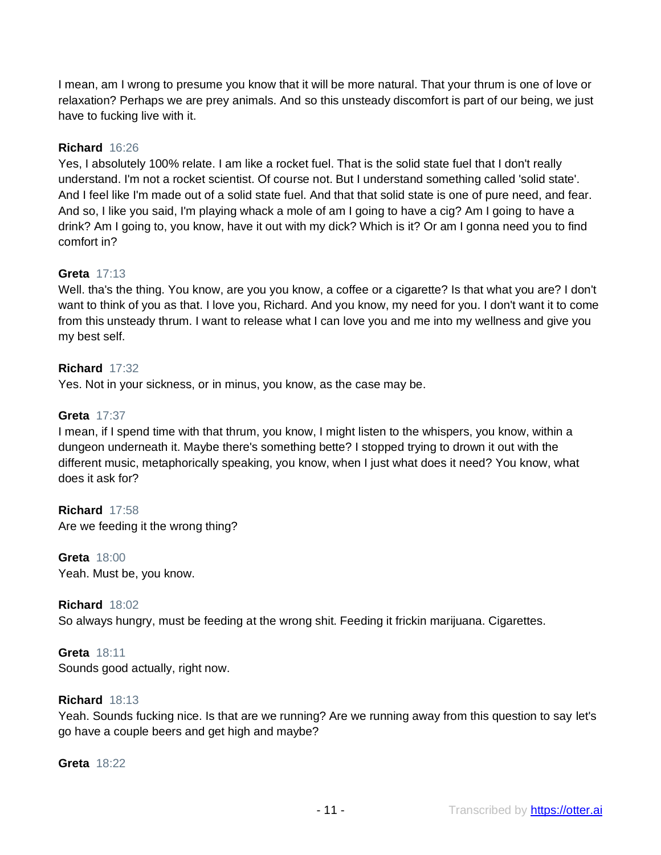I mean, am I wrong to presume you know that it will be more natural. That your thrum is one of love or relaxation? Perhaps we are prey animals. And so this unsteady discomfort is part of our being, we just have to fucking live with it.

### **Richard** 16:26

Yes, I absolutely 100% relate. I am like a rocket fuel. That is the solid state fuel that I don't really understand. I'm not a rocket scientist. Of course not. But I understand something called 'solid state'. And I feel like I'm made out of a solid state fuel. And that that solid state is one of pure need, and fear. And so, I like you said, I'm playing whack a mole of am I going to have a cig? Am I going to have a drink? Am I going to, you know, have it out with my dick? Which is it? Or am I gonna need you to find comfort in?

### **Greta** 17:13

Well. tha's the thing. You know, are you you know, a coffee or a cigarette? Is that what you are? I don't want to think of you as that. I love you, Richard. And you know, my need for you. I don't want it to come from this unsteady thrum. I want to release what I can love you and me into my wellness and give you my best self.

### **Richard** 17:32

Yes. Not in your sickness, or in minus, you know, as the case may be.

### **Greta** 17:37

I mean, if I spend time with that thrum, you know, I might listen to the whispers, you know, within a dungeon underneath it. Maybe there's something bette? I stopped trying to drown it out with the different music, metaphorically speaking, you know, when I just what does it need? You know, what does it ask for?

### **Richard** 17:58

Are we feeding it the wrong thing?

### **Greta** 18:00

Yeah. Must be, you know.

### **Richard** 18:02

So always hungry, must be feeding at the wrong shit. Feeding it frickin marijuana. Cigarettes.

### **Greta** 18:11

Sounds good actually, right now.

### **Richard** 18:13

Yeah. Sounds fucking nice. Is that are we running? Are we running away from this question to say let's go have a couple beers and get high and maybe?

### **Greta** 18:22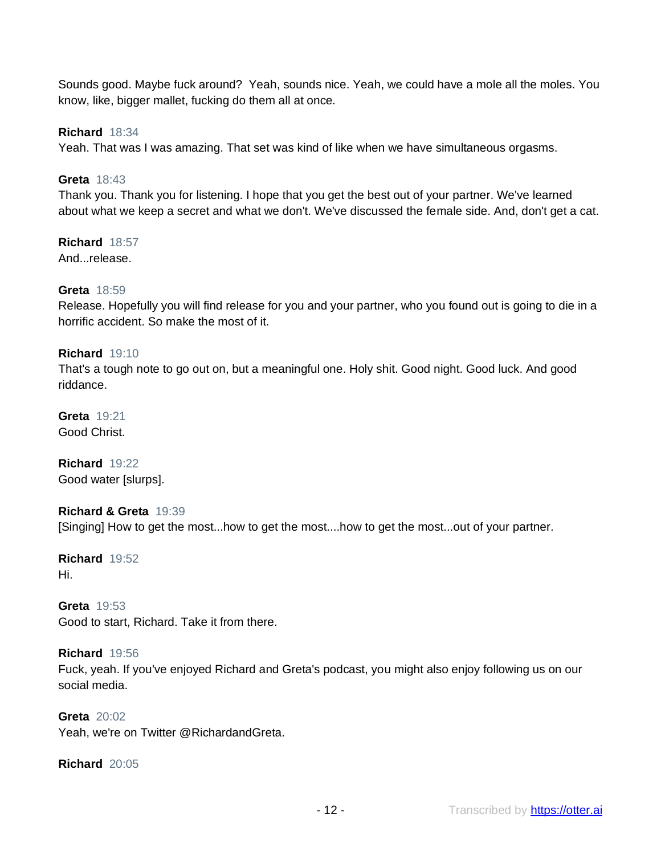Sounds good. Maybe fuck around? Yeah, sounds nice. Yeah, we could have a mole all the moles. You know, like, bigger mallet, fucking do them all at once.

### **Richard** 18:34

Yeah. That was I was amazing. That set was kind of like when we have simultaneous orgasms.

### **Greta** 18:43

Thank you. Thank you for listening. I hope that you get the best out of your partner. We've learned about what we keep a secret and what we don't. We've discussed the female side. And, don't get a cat.

# **Richard** 18:57

And...release.

### **Greta** 18:59

Release. Hopefully you will find release for you and your partner, who you found out is going to die in a horrific accident. So make the most of it.

### **Richard** 19:10

That's a tough note to go out on, but a meaningful one. Holy shit. Good night. Good luck. And good riddance.

### **Greta** 19:21 Good Christ.

**Richard** 19:22 Good water [slurps].

### **Richard & Greta** 19:39 [Singing] How to get the most...how to get the most....how to get the most...out of your partner.

### **Richard** 19:52 Hi.

### **Greta** 19:53 Good to start, Richard. Take it from there.

### **Richard** 19:56

Fuck, yeah. If you've enjoyed Richard and Greta's podcast, you might also enjoy following us on our social media.

### **Greta** 20:02

Yeah, we're on Twitter @RichardandGreta.

### **Richard** 20:05